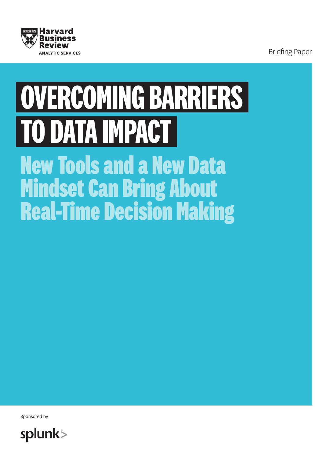

Briefing Paper

# **OVERCOMING BARRIERS TO DATA IMPACT**

**New Tools and a New Data Mindset Can Bring About Real-Time Decision Making**

Sponsored by

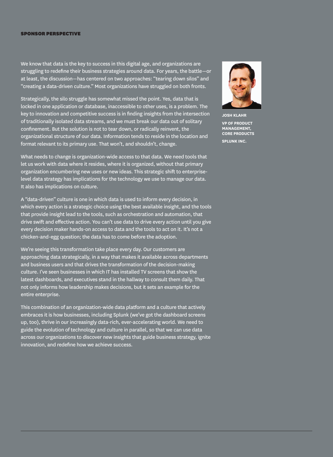#### SPONSOR PERSPECTIVE

We know that data is the key to success in this digital age, and organizations are struggling to redefine their business strategies around data. For years, the battle—or at least, the discussion—has centered on two approaches: "tearing down silos" and "creating a data-driven culture." Most organizations have struggled on both fronts.

Strategically, the silo struggle has somewhat missed the point. Yes, data that is locked in one application or database, inaccessible to other uses, is a problem. The key to innovation and competitive success is in finding insights from the intersection of traditionally isolated data streams, and we must break our data out of solitary confinement. But the solution is not to tear down, or radically reinvent, the organizational structure of our data. Information tends to reside in the location and format relevant to its primary use. That won't, and shouldn't, change.

What needs to change is organization-wide access to that data. We need tools that let us work with data where it resides, where it is organized, without that primary organization encumbering new uses or new ideas. This strategic shift to enterpriselevel data strategy has implications for the technology we use to manage our data. It also has implications on culture.

A "data-driven" culture is one in which data is used to inform every decision, in which every action is a strategic choice using the best available insight, and the tools that provide insight lead to the tools, such as orchestration and automation, that drive swift and effective action. You can't use data to drive every action until you give every decision maker hands-on access to data and the tools to act on it. It's not a chicken-and-egg question; the data has to come before the adoption.

We're seeing this transformation take place every day. Our customers are approaching data strategically, in a way that makes it available across departments and business users and that drives the transformation of the decision-making culture. I've seen businesses in which IT has installed TV screens that show the latest dashboards, and executives stand in the hallway to consult them daily. That not only informs how leadership makes decisions, but it sets an example for the entire enterprise.

This combination of an organization-wide data platform and a culture that actively embraces it is how businesses, including Splunk (we've got the dashboard screens up, too), thrive in our increasingly data-rich, ever-accelerating world. We need to guide the evolution of technology and culture in parallel, so that we can use data across our organizations to discover new insights that guide business strategy, ignite innovation, and redefine how we achieve success.



**JOSH KLAHR VP OF PRODUCT MANAGEMENT, CORE PRODUCTS SPLUNK INC.**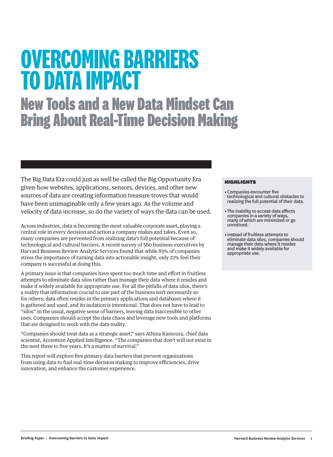# **0VERCOMING BARRIERS TO DATA IMPACT New Tools and a New Data Mindset Can Bring About Real-Time Decision Making**

The Big Data Era could just as well be called the Big Opportunity Era given how websites, applications, sensors, devices, and other new sources of data are creating information treasure troves that would have been unimaginable only a few years ago. As the volume and velocity of data increase, so do the variety of ways the data can be used.

Across industries, data is becoming the most valuable corporate asset, playing a central role in every decision and action a company makes and takes. Even so, many companies are prevented from realizing data's full potential because of technological and cultural barriers. A recent survey of 560 business executives by Harvard Business Review Analytic Services found that while 83% of companies stress the importance of turning data into actionable insight, only 22% feel their company is successful at doing this.

A primary issue is that companies have spent too much time and effort in fruitless attempts to eliminate data silos rather than manage their data where it resides and make it widely available for appropriate use. For all the pitfalls of data silos, there's a reality that information crucial to one part of the business isn't necessarily so for others; data often resides in the primary applications and databases where it is gathered and used, and its isolation is intentional. That does not have to lead to "silos" in the usual, negative sense of barriers, leaving data inaccessible to other uses. Companies should accept the data chaos and leverage new tools and platforms that are designed to work with the data reality.

"Companies should treat data as a strategic asset," says Athina Kanioura, chief data scientist, Accenture Applied Intelligence. "The companies that don't will not exist in the next three to five years. It's a matter of survival."

This report will explore five primary data barriers that prevent organizations from using data to fuel real-time decision making to improve efficiencies, drive innovation, and enhance the customer experience.

#### HIGHLIGHTS

- •Companies encounter five technological and cultural obstacles to realizing the full potential of their data.
- •The inability to access data affects companies in a variety of ways, many of which are minimized or go unnoticed.
- •Instead of fruitless attempts to eliminate data silos, companies should manage their data where it resides and make it widely available for appropriate use.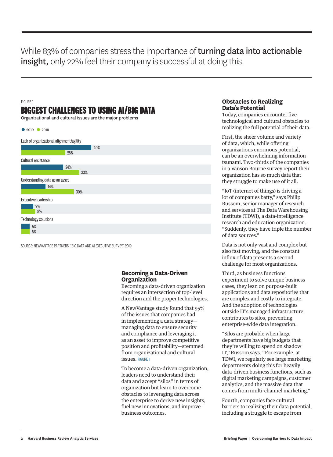While 83% of companies stress the importance of **turning data into actionable** insight, only 22% feel their company is successful at doing this.

#### FIGURE 1

#### **BIGGEST CHALLENGES TO USING AI/BIG DATA**

Organizational and cultural issues are the major problems

| • 2019 • 2018 |   |
|---------------|---|
|               | . |



10 20 30 40 50 60 70 80 90 100

SOURCE: NEWVANTAGE PARTNERS, "BIG DATA AND AI EXECUTIVE SURVEY." 2019

#### **Becoming a Data-Driven Organization**

Becoming a data-driven organization requires an intersection of top-level direction and the proper technologies.

A NewVantage study found that 95% of the issues that companies had in implementing a data strategy managing data to ensure security and compliance and leveraging it as an asset to improve competitive position and profitability—stemmed from organizational and cultural issues. FIGURE 1

To become a data-driven organization, leaders need to understand their data and accept "silos" in terms of organization but learn to overcome obstacles to leveraging data across the enterprise to derive new insights, fuel new innovations, and improve business outcomes.

#### **Obstacles to Realizing Data's Potential**

Today, companies encounter five technological and cultural obstacles to realizing the full potential of their data.

First, the sheer volume and variety of data, which, while offering organizations enormous potential, can be an overwhelming information tsunami. Two-thirds of the companies in a Vanson Bourne survey report their organization has so much data that they struggle to make use of it all.

"IoT (internet of things) is driving a lot of companies batty," says Philip Russom, senior manager of research and services at The Data Warehousing Institute (TDWI), a data-intelligence research and education organization. "Suddenly, they have triple the number of data sources."

Data is not only vast and complex but also fast moving, and the constant influx of data presents a second challenge for most organizations.

Third, as business functions experiment to solve unique business cases, they lean on purpose-built applications and data repositories that are complex and costly to integrate. And the adoption of technologies outside IT's managed infrastructure contributes to silos, preventing enterprise-wide data integration.

"Silos are probable when large departments have big budgets that they're willing to spend on shadow IT," Russom says. "For example, at TDWI, we regularly see large marketing departments doing this for heavily data-driven business functions, such as digital marketing campaigns, customer analytics, and the massive data that comes from multi-channel marketing."

Fourth, companies face cultural barriers to realizing their data potential, including a struggle to escape from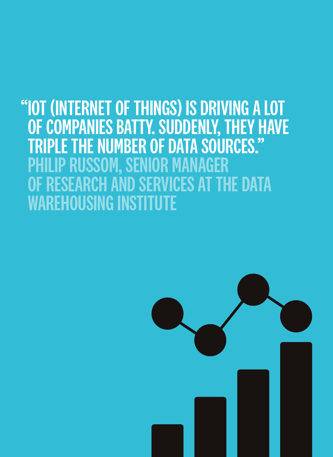### "IOT (INTERNET OF THINGS) IS DRIVING A LOT OF COMPANIES BATTY. SUDDENLY, THEY HAVE TRIPLE THE NUMBER OF DATA SOURCES." PHILIP RUSSOM, SENIOR MANAGER OF RESEARCH AND SERVICES AT THE DATA WAREHOUSING INSTITUTE

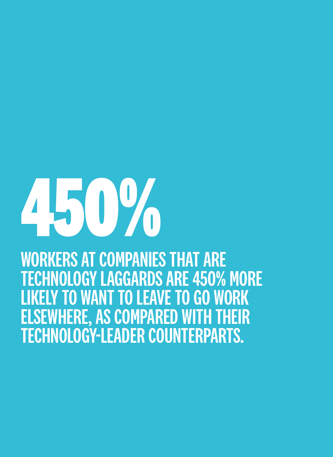# **450%**

WORKERS AT COMPANIES THAT ARE TECHNOLOGY LAGGARDS ARE 450% MORE LIKELY TO WANT TO LEAVE TO GO WORK ELSEWHERE, AS COMPARED WITH THEIR TECHNOLOGY-LEADER COUNTERPARTS.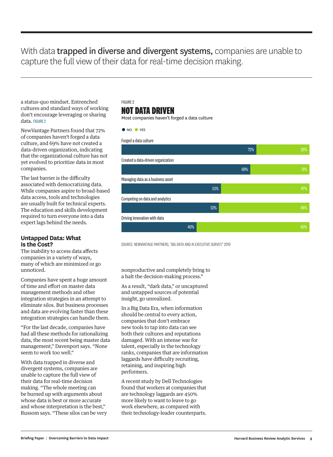#### With data **trapped in diverse and divergent systems**, companies are unable to capture the full view of their data for real-time decision making.

a status-quo mindset. Entrenched cultures and standard ways of working don't encourage leveraging or sharing data. FIGURE 2

NewVantage Partners found that 72% of companies haven't forged a data culture, and 69% have not created a data-driven organization, indicating that the organizational culture has not yet evolved to prioritize data in most companies.

The last barrier is the difficulty associated with democratizing data. While companies aspire to broad-based data access, tools and technologies are usually built for technical experts. The education and skills development required to turn everyone into a data expert lags behind the needs.

#### **Untapped Data: What Is the Cost?**

The inability to access data affects companies in a variety of ways, many of which are minimized or go unnoticed.

Companies have spent a huge amount of time and effort on master data management methods and other integration strategies in an attempt to eliminate silos. But business processes and data are evolving faster than these integration strategies can handle them.

"For the last decade, companies have had all these methods for rationalizing data, the most recent being master data management," Davenport says. "None seem to work too well."

With data trapped in diverse and divergent systems, companies are unable to capture the full view of their data for real-time decision making. "The whole meeting can be burned up with arguments about whose data is best or more accurate and whose interpretation is the best," Russom says. "These silos can be very

#### FIGURE 2 **NOT DATA DRIVEN**

Most companies haven't forged a data culture



10 20 30 40 50 60 70 80 90 100

SOURCE: NEWVANTAGE PARTNERS, "BIG DATA AND ALEXECUTIVE SURVEY." 2019

nonproductive and completely bring to a halt the decision-making process."

As a result, "dark data," or uncaptured and untapped sources of potential insight, go unrealized.

In a Big Data Era, when information should be central to every action, companies that don't embrace new tools to tap into data can see both their cultures and reputations damaged. With an intense war for talent, especially in the technology ranks, companies that are information laggards have difficulty recruiting, retaining, and inspiring high performers.

A recent study by Dell Technologies found that workers at companies that are technology laggards are 450% more likely to want to leave to go work elsewhere, as compared with their technology-leader counterparts.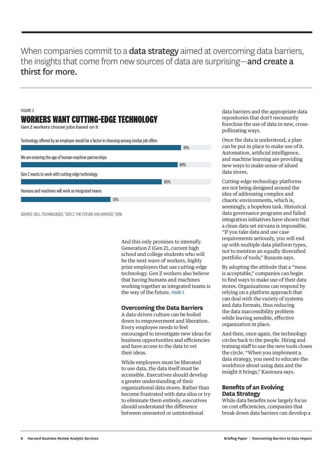#### When companies commit to a **data strategy** aimed at overcoming data barriers, the insights that come from new sources of data are surprising—and create a thirst for more.

#### FIGURE 3 **WORKERS WANT CUTTING-EDGE TECHNOLOGY** Gen Z workers choose jobs based on it

Technology offered by an employer would be a factor in choosing among similar job offers



SOURCE: DELL TECHNOLOGIES, "GEN Z: THE FUTURE HAS ARRIVED," 2018

And this only promises to intensify. Generation Z (Gen Z), current high school and college students who will be the next wave of workers, highly prize employers that use cutting-edge technology. Gen Z workers also believe that having humans and machines working together as integrated teams is the way of the future. FIGURE 3

#### **Overcoming the Data Barriers**

A data-driven culture can be boiled down to empowerment and liberation. Every employee needs to feel encouraged to investigate new ideas for business opportunities and efficiencies and have access to the data to vet their ideas.

While employees must be liberated to use data, the data itself must be accessible. Executives should develop a greater understanding of their organizational data stores. Rather than become frustrated with data silos or try to eliminate them entirely, executives should understand the difference between unwanted or unintentional

data barriers and the appropriate data repositories that don't necessarily foreclose the use of data in new, crosspollinating ways.

Once the data is understood, a plan can be put in place to make use of it. Automation, artificial intelligence, and machine learning are providing new ways to make sense of siloed data stores.

Cutting-edge technology platforms are not being designed around the idea of addressing complex and chaotic environments, which is, seemingly, a hopeless task. Historical data governance programs and failed integration initiatives have shown that a clean data set nirvana is impossible. "If you take data and use case requirements seriously, you will end up with multiple data platform types, not to mention an equally diversified portfolio of tools," Russom says.

By adopting the attitude that a "mess is acceptable," companies can begin to find ways to make use of their data stores. Organizations can respond by relying on a platform approach that can deal with the variety of systems and data formats, thus reducing the data inaccessibility problem while leaving sensible, effective organization in place.

And then, once again, the technology circles back to the people. Hiring and training staff to use the new tools closes the circle. "When you implement a data strategy, you need to educate the workforce about using data and the insight it brings," Kanioura says.

#### **Benefits of an Evolving Data Strategy**

While data benefits now largely focus on cost efficiencies, companies that break down data barriers can develop a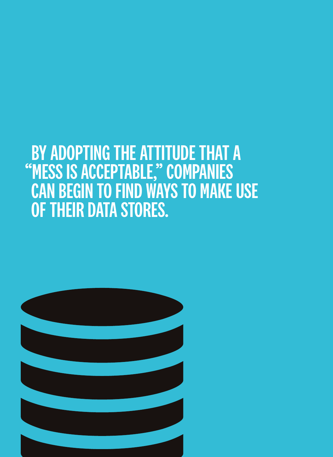## BY ADOPTING THE ATTITUDE THAT A "MESS IS ACCEPTABLE," COMPANIES CAN BEGIN TO FIND WAYS TO MAKE USE OF THEIR DATA STORES.

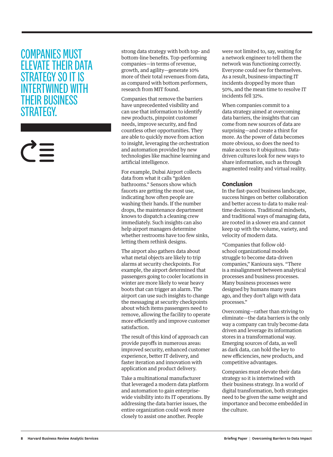#### COMPANIES MUST ELEVATE THEIR DATA STRATEGY SO IT IS INTERTWINED WITH THEIR BUSINESS STRATEGY.

strong data strategy with both top- and bottom-line benefits. Top-performing companies—in terms of revenue, growth, and agility—generate 10% more of their total revenues from data, as compared with bottom performers, research from MIT found.

Companies that remove the barriers have unprecedented visibility and can use that information to identify new products, pinpoint customer needs, improve security, and find countless other opportunities. They are able to quickly move from action to insight, leveraging the orchestration and automation provided by new technologies like machine learning and artificial intelligence.

For example, Dubai Airport collects data from what it calls "golden bathrooms." Sensors show which faucets are getting the most use, indicating how often people are washing their hands. If the number drops, the maintenance department knows to dispatch a cleaning crew immediately. Such insights can also help airport managers determine whether restrooms have too few sinks, letting them rethink designs.

The airport also gathers data about what metal objects are likely to trip alarms at security checkpoints. For example, the airport determined that passengers going to cooler locations in winter are more likely to wear heavy boots that can trigger an alarm. The airport can use such insights to change the messaging at security checkpoints about which items passengers need to remove, allowing the facility to operate more efficiently and improve customer satisfaction.

The result of this kind of approach can provide payoffs in numerous areas: improved security, enhanced customer experience, better IT delivery, and faster iteration and innovation with application and product delivery.

Take a multinational manufacturer that leveraged a modern data platform and automation to gain enterprisewide visibility into its IT operations. By addressing the data barrier issues, the entire organization could work more closely to assist one another. People

were not limited to, say, waiting for a network engineer to tell them the network was functioning correctly. Everyone could see for themselves. As a result, business-impacting IT incidents dropped by more than 50%, and the mean time to resolve IT incidents fell 32%.

When companies commit to a data strategy aimed at overcoming data barriers, the insights that can come from new sources of data are surprising—and create a thirst for more. As the power of data becomes more obvious, so does the need to make access to it ubiquitous. Datadriven cultures look for new ways to share information, such as through augmented reality and virtual reality.

#### **Conclusion**

In the fast-paced business landscape, success hinges on better collaboration and better access to data to make realtime decisions. Traditional mindsets, and traditional ways of managing data, are rooted in a slower era and cannot keep up with the volume, variety, and velocity of modern data.

"Companies that follow oldschool organizational models struggle to become data-driven companies," Kanioura says. "There is a misalignment between analytical processes and business processes. Many business processes were designed by humans many years ago, and they don't align with data processes."

Overcoming—rather than striving to eliminate—the data barriers is the only way a company can truly become data driven and leverage its information stores in a transformational way. Emerging sources of data, as well as dark data, can hold the key to new efficiencies, new products, and competitive advantages.

Companies must elevate their data strategy so it is intertwined with their business strategy. In a world of digital transformation, both strategies need to be given the same weight and importance and become embedded in the culture.